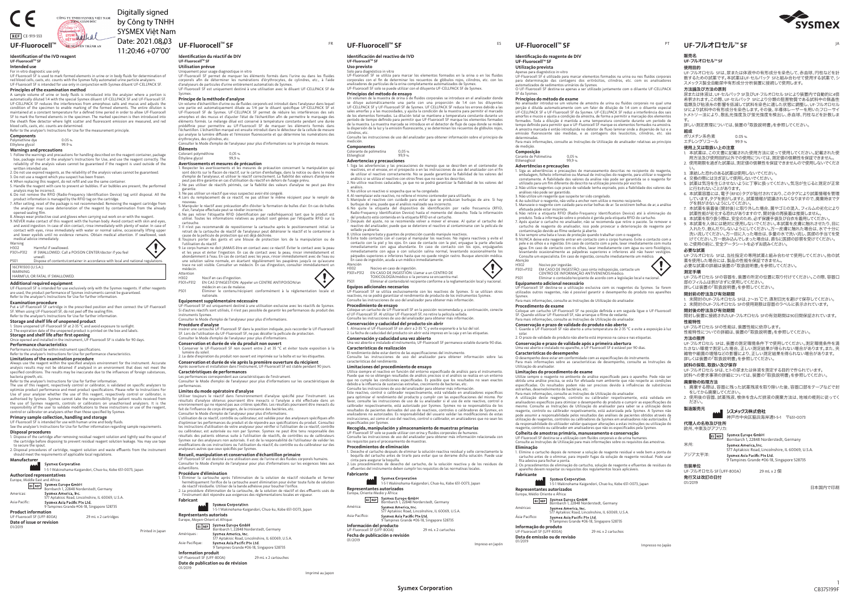販売名

**UF-**フルオロセル**TM SF**

使用目的 UF-フルオロセル SFは、尿または体液中の有形成分を染色して、赤血球、円柱などを計数するための試薬です。本試薬はUF-セルパック SFと組み合わせて使用する試薬で、 シ スメックス製全自動尿中有形成分分析装置に接続して使用します。

### 方法論及び方法の原則

 尿または体液は、UF-セルパック SF及びUF-フルオロセル SFにより装置内で自動的に4倍 希釈されます。この際、UF-セルパック SFにより分類の阻害物質である試料中の無晶性 塩類及び粘液糸の影響を低減して試料を染色に適した状態に調整し、UF-フルオロセルSFにより試料中の有形成分を染色します。その後、半導体レーザーを用いたフローサイ トメトリー法により、散乱光強度及び蛍光強度を検出し、赤血球、円柱などを計数しま

す。 詳しい測定原理については、装置の「取扱説明書」を参照してください。

組成ポリメチン系色素 0.05 %

エチレングリコール 99.9 %

 1. 未開封のUF-フルオロセル SFは、2~35 ℃で、直射日光を避けて保存してください。 . 未開封のUF-フルオロセル SFの使用期限は容器のラベルに表示されています。

- 使用上又は取扱い上の注意
- 1. 本試薬は、この文書に記載された使用方法に従って使用してください。記載された使用方法及び使用目的以外での使用については、測定値の信頼性を保証できません。 2. 使用期限を過ぎた試薬は、測定値の信頼性を保証できませんので使用しないでくださ
- い。 3. 凍結した恐れのある試薬は使用しないでください。
- 
- 4. 交換の際には注ぎ足して使用しないでください。 5. 試薬は気泡を生じさせないように丁寧に扱ってください。気泡が生じると測定が正常に行われないことがあります。 6. 本試薬容器には、電子(RFID)タグが貼付されており、このタグにより試薬情報を管理
- しています。タグを剥がしますと、試薬情報が認識されなくなりますので、廃棄時までタ グを剥がさないようにしてください。 7. 本試薬を装着後(開封後)に取り外した場合、菌やゴミの混入、フィルムの劣化により
- 試薬性能が劣化する恐れがありますので、開封後の再装着は推奨しません。8. 本試薬を取り扱う際は、安全のため、必ず保護手袋及び白衣を着用してください。
- 9. 本試薬を人体には絶対に使用しないでください。本試薬を皮膚に触れさせたり、目に 入れたり、飲んだりしないようにしてください。万一皮膚に触れた場合は、水で十分に 洗い流してください。万一目に入った場合は、多量の水で洗い流し、医師の手当てを受 けてください。万一飲み込んでしまった場合は、直ちに医師の診察を受けてください。 10. ご使用の前に、安全データシートを必ずお読みください。

#### **UF-FluorocellTM SF UF-FluorocellTM SF**UF-Fluorocell™ SF <sup>FR</sup> UF-Fluorocell™ SF <sup>ES</sup>

### 必要な試薬

UF-フルオロセル SFは、当社指定の専用試薬と組み合わせて使用してください。他の試<br>薬を使用した場合には、製品の性能を保証できません。<br>必要な試薬の詳細は装置の「取扱説明書」を参照してください。

# 測定手順

 UF-フルオロセル SFの容器を、装置の所定の位置に取り付けてください。この際、容器口部のフィルムは剥がさずに使用してください。

 詳しくは装置の「取扱説明書」を参照してください。開封前の貯法及び有効期間

# 開封後の貯法及び有効期間

 開封し装置に接続されたUF-フルオロセル SFの有効期間は90日間保証されています。性能特性

 UF-フルオロセル SFの性能は、装置性能に依存します。性能特性についての詳細は、装置の「取扱説明書」を参照してください。

# 方法の限界

 UF-フルオロセル SFは、装置の測定環境条件下で使用してください。測定環境条件を満 たさない環境で測定した場合、正しい測定結果が得られない場合があります。また、 夾 雑物や細菌の増殖などの影響により、正しい測定結果を得られない場合があります。 詳しくは装置の「取扱説明書」を参照してください。

No analisador introduz-se um volume de amostra de urina ou fluídos corporais no qual uma<br>porção é diluída automaticamente com um fator de diluição de 1:4 com o diluente especial<br>UF-CELLPACK SF e UF-Fluorocell SF da Sysmex. A amostra marcada é então introduzida no detetor de fluxo laminar onde a dispersão de luz e a emissão fluorescente são medidas, e as contagens dos leucócitos, cilindros, etc. são

### 試料の採取、取扱い及び保存

de medição. **Composição**<br>Corante de Polimetina Corante de F<br>tilenoglicol

UF-フルオロセル SFは、ヒトの尿または体液を測定する目的で作られています。 試料への要求事項の詳細については、装置の「取扱説明書」を参照してください。

## 廃棄物の処理方法

- 1. 廃棄する際は、容器に残った試薬残液を取り除いた後、容器口部をテープなどで封 をしてから廃棄してください。
- 2. 使用後の容器、試薬残液、検体を含んだ排液の廃棄方法は、地域の規則に従ってください。

# 製造販売元

# シスメックス株式会社

- - - - - - - - - - - - - - -<br>神戸市中央区脇浜海岸通1-5-1 〒651-0073

Etilenoglicol<br>**Advertências e precauções**<br>1. Siga as advertências e precauções de manuseamento descritas no recipiente do reagente,<br>- embalagem, folheto informativo ou Manual de instruções do reagente, para utilizar o reag corretamente. A fiabilidade dos valores da análise não pode ser garantida se o reagente for

utilizado para um fim diferente do descrito na utilização prevista por escrito.<br>2. Não utilize reagentes cujo prazo de validade tenha expirado, pois a fiabilidade dos valores das<br>a málises não pode ser garantido.<br>3. Não ut

# 代理人の名称及び住所

|         | 欧州、中東及びアフリカ:                                                               |  |  |  |
|---------|----------------------------------------------------------------------------|--|--|--|
| EC REP  | Sysmex Europe GmbH<br>Bornbarch 1, 22848 Norderstedt, Germany              |  |  |  |
| 米州:     | Sysmex America, Inc.<br>577 Aptakisic Road, Lincolnshire, IL 60069, U.S.A. |  |  |  |
| アジア太平洋: | Sysmex Asia Pacific Pte Ltd.<br>9 Tampines Grande #06-18, Singapore 528735 |  |  |  |

### 包装単位

 UF-フルオロセル SF(UFF-800A) 29 mL x 2 個発行又は改訂の日付01/2019

**Identificação do reagente de DIV**

**UF-FluorocellTM SFUtilização prevista**

Apenas para diagnóstico in-vitro UF-Fluorocell SF é utilizado para marcar elementos formados na urina ou nos fluídos corporais para determinação das contagens dos eritrócitos, cilindros, etc. com os analisadores automatizados de sedimentos urinários da Sysmex. O UF-Fluorocell SF destina-se apenas a ser utilizado juntamente com o diluente UF-CELLPACK

SF da Sysmex.

**Princípios do método de exame**

 $0,05%$ <br>99,9%

determinadas. Para mais informações, consulte as Instruções de Utilização do analisador relativas ao princípio

A utilização deste reagente, controlo ou calibrador respetivamente, está validada em analisadores específicos para otimizar o desempenho do produto e cumprir as específicações do<br>enesmo. Consulte as Instruções de Utilização do analisador para saber se a utilização deste<br>reagente, controlo ou calibrador res

**Colheita de amostras primária, manuseamento e conservação** UF-Fluorocell SF destina-se a utilização com fluídos corporais e de urina h

EC REP Sysmex Europe GmbH<br>Bornbarch 1, 22848 Norderstedt, Germany

efetuada pode estar incorreta. 6. Não retire a etiqueta RFID (Radio-Frequency Identification Device) até à eliminação do

produto. Toda a informação sobre o produto é gerida pela etiqueta RFID do cartucho.<br>7. Após ajustar o cartucho no analisador, não se recomenda que retire o pacote. Se remover o<br>cartucho de reagente do analisador, isso pode

pele e os olhos e a ingestão. Em caso de contacto com a pele, lavar imediatamente com muita água. Em caso de contacto com os olhos, lavar imediatamente com água ou soro fisiológico, levantando ocasionalmente as pálpebras superiores e inferiores até não haver vestígios. Consulte um especialista. Em caso de ingestão, consulte imediatamente um médico.



Atenção

H302 Nocivo por ingestão. P301+P312 EM CASO DE INGESTÃO: caso sinta indisposição, contacte um CENTRO DE INFORMAÇÃO ANTIVENENOS/médico.

P501 Eliminar o conteúdo/recipiente de acordo com a legislação local e nacional.

**Equipamento adicional necessário**

UF-Fluorocell SF destina-se a utilização exclusiva com os reagentes da Sysmex. Se forem utilizados outros reagentes, não é possível garantir o desempenho do produto nos aparelhos

**Procedimento de exame**<br>Coloque um cartucho UF-Fluorocell SF na posição definida e em seguida ligue o UF-Fluorocell<br>SF. Quando utilizar UF-Fluorocell SF, não arranque o filme de vedante.<br>Para mais informações, consulte as

ruei producto esta contenida en la etiqueta KriD en el cartucno.<br>. Después del ajuste, no se recomienda volver a mover el envase. Al quitar el cartucho del reactivo del analizador, puede que se deteriore el reactivo al contaminarse con la película de

Sysmex. Para mais informações, consulte as Instruções de Utilização do analisador.

8. Utilice siempre bata y guantes de protección cuando manipule reactivos.<br>9. Evite todo contacto con el cuerpo al manipular los reactivos. No ingiera reactivos y evite el<br>- contacto con la piel y los ojos. En caso de cont inmediatamente con agua abundante. En caso de contacto con los ojos, enjuáguelo inmediatamente con agua o con solución salina normal, levantando ocasionalmente los párpados superiores e inferiores hasta que no quede ningún rastro. Busque atención médica.

**Conservação e prazo de validade do produto não aberto**

1. Guarde o UF-Fluorocell SF não aberto a uma temperatura de 2-35 °C e evite a exposição à luz solar. 2. O prazo de validade do produto não aberto está impresso na caixa e nas etiquetas.

**Conservação e prazo de validade após a primeira abertura**

Uma vez aberto e instalado no aparelho, o UF-Fluorocell SF é estável por 90 dias.

**Características do desempenho**

O desempenho deve estar em conformidade com as especificações do instrumento.

Una vez abierto e instalado el instrumento, UF-Fluorocell SF permanece estable durante 90 días. **Características de realización**<br>El rendimiento debe estar dentro de las especificaciones del instrumento.<br>Consulte las instrucciones de uso del analizador para obtener información sobre las<br>características del rendimiento

Para mais informações sobre as características de desempenho, consulte as Instruções de Utilização do analisador.

**Limitações do procedimento de exame**<br>Utilize sempre o reagente no ambiente de análise especificado para o aparelho. Pode não ser<br>obtida uma análise precisa, se esta for efetuada num ambiente que não respeite as condições<br>

Utilice siempre el reactivo en función del entorno especificado de análisis para el instrumento. Puede que no se obtengan resultados de análisis precisos si el análisis se realiza en un entorno que no cumple las condiciones especificadas. Es posible que los resultados no sean exactos debido a la influencia de sustancias extrañas, crecimiento de bacterias, etc.<br>Consulte las instrucciones de uso del analizador para obtener más información.<br>Este reactivo, control o calibrador respectivamente, está validad

calibrador respectivamente, está autorizado por Sysmex. Sysmex no se responsabiliza de los<br>resultados de pacientes derivados del uso de reactivos, controles o calibradores de Sysmex, en<br>analizadores no autorizados. Es resp is no autorizados. Es responsabilidad del asíamo validar las inodificaciones de e<br>les, así como el uso del reactivo, control o calibrador, en analizadores que no seal

cinta para asegurar la boquilla.<br>2 Los procedimientos de desech efluentes del instrumento deben cumplir los requisitos de las normativas locales.

Imprimé au Japon

Sysmex Asia Pacific Pte Ltd.<br>9 Tampines Grande #06-18, Singapore 528735 **Información del producto** UF-Fluorocell SF (UFF-800A) 29 mL x 2 cartuchos Consulte as Instruções de Utilização para mais informações sobre os requisitos das amostras.

**Eliminação**

Uniquement pour usage diagnostique in vitro<br>UF-Fluorocell SF permet de marquer les éléments formés dans l'urine ou dans les fluides<br>corporels afin de déterminer les numérations d'érythrocytes, de cylindres, etc., à l'aide d'analyseurs de particules d'urine entièrement automatisés de Sysmex. UF-Fluorocell SF est uniquement destiné à une utilisation avec le diluant UF-CELLPACK SF de

> 1. Elimine o cartucho depois de remover a solução de reagente residual e vede bem a ponta do cartucho antes de o eliminar, para impedir fugas da solução de reagente residual. Pode usar

> fita adesiva para fechar a ponta. 2. Os procedimentos de eliminação do cartucho, solução de reagente e efluentes de resíduos do aparelho devem respeitar os requisitos dos regulamentos locais aplicáveis.

**Fabricante**

1-5-1 Wakinohama-Kaigandori, Chuo-ku, Kobe 651-0073, Japan

# UF-フルオロセル<sup>™</sup> SF

Un volume d'échantillon d'urine ou de fluides corporels est introduit dans l'analyseur dans lequel<br>une partie est automatiquement diluée au 1/4 par le diluant spécifique UF-CELLPACK SF et<br>UF-Fluorocell SF de Sysmex. UF-CEL éléments formés. Le mélange dilué est conservé à température constante pendant une durée prédéfinie pour permettre au UF-Fluorocell SF de marquer les éléments formés dans l'échantillon. L'échantillon marqué est ensuite introduit dans le détecteur de la cellule de mesure qui analyse la lumière diffusée et l'émission fluorescente et qui détermine les numérations des érythrocytes, des cylindres, etc.

**Representantes autorizados** Europa, Médio Oriente e África:

Américas:

577 Aptakisic Road, Lincolnshire, IL 60069, U.S.A.

9 Tampines Grande #26-18, Sysmex Asia Pacific Pte Ltd.<br>9 Tampines Grande #06-18, Singapore 528735

Ásia-Pacífico:

**Informação do produto**

UF-Fluorocell SF (UFF-800A) 29 mL x 2 cartuchos

**Data de emissão ou de revisão**

01/2019

### PT

**Identificación del reactivo de IVDUF-FluorocellTM SF**

Colorante de polimetina 0,05 %<br>Etilenglicol 99 %

.<br>. No utilice un reactivo si sospecha que se ha congelado.

# **Uso previsto**

**Principios del método de ensayo** Un volumen de la muestra de orina o de fluidos corporales se introduce en el analizador donde se diluye automáticamente una parte con una proporción de 1:4 con los diluyentes UF-CELLPACK SF y UF-Fluorocell SF de Sysmex. UF CELLPACK SF reduce los errores debido a las

sales amorfas y a las mucosidades, y ajusta la condición de la muestra para permitir el marcado<br>de los elementos formados. La dilución total se mantiene a temperatura constante durante un<br>período de tiempo definido para pe

# l'utilisation du réactif.<br>
2) Le corps humain ne doit JAMAIS être en contact avec ce réactif. Éviter le contact avec la peau<br>
et les yeux et éviter l'ingestion. En cas de contact avec la peau, rincer immédiatement et<br>
abon médecin.

cilindros, etc.

Consulte las instrucciones de uso del analizador para obtener información sobre el principio de

1. Siga las advertencias y las precauciones de manejo que se describen en el contenedor de reactivos, en el envase, en el prospecto o en las instrucciones de uso del analizador con el fin de utilizar el reactivo correctame

3. No utilice un reactivo si ospecha que se ha congelado.<br>4. Al reemplazar este reactivo, no rellene el mismo contenedor para utilizarlo.<br>5. Manipule el reactivo con cuidado para evitar que se produzcan burbujas de aire. S

medición.**Componentes**

Etilenglicol

Solo para diagnóstico in vitro<br>UF-Fluorocell SF se utiliza para marcar los elementos formados en la orina o en los fluidos<br>corporales con el fin de determinar los recuentos de glóbulos rojos, cilindros, etc. con los<br>analiz

Utiliser toujours le réactif dans l'environnement d'analyse spécifié pour l'instrument. Les résultats d'analyse obtenus pourraient être inexacts si l'analyse a été effectuée dans un<br>environnement qui ne répond pas aux critères spécifiés. Les résultats pourraient être inexacts du<br>fait de l'influence de corps étran **Advertencias y precauciones**

 **Procédure d'élimination**1. Éliminer la cartouche après l'élimination de la solution de réactif résiduelle et fermer<br>hermétiquement l'orifice de la cartouche avant élimination pour éviter toute fuite de solution<br>de réactif résiduelle. Utiliser de

ocedure d'emmination de la cartouche, de la solution de réactir et des en<br>rument doit répondre aux exigences des réglementations locales en vigueu **Fabricant**

sellado ya abierta.

A sample volume of urine or body fluids is introduced into the analyzer where a portion automatically diluted 1:4 with the special Sysmex diluent UF-CELLPACK SF and UF-Fluorocell SF.<br>UF-CELLPACK SF reduces the interferences from amorphous salts and mucus and adjusts the<br>condition of the specimen to enable mar SF to mark the formed elements in the specimen. The marked specimen is then introduced into<br>the sheath flow detector where light scatter and fluorescent emission are measured, and red<br>blood cells, casts, etc. counts are de Refer to the analyzer's Instructions for Use for the measurement principle.

En caso de ingestión, acuda a un médico inmediatamente.

Atención

P501 Eliminar el contenido/el recipiente conforme a la reglamentación local y nacional.

**Equipos adicionales necesarios**

H302 Nocivo en caso de ingestión.<br>P301+P312 EN CASO DE INGESTIÓN: Llamar a un CENTRO DE<br>TOXICOLOGÍA/médico si la persona se encuentra mal.

UF-Fluorocell SF se utiliza exclusivamente con los reactivos de Sysmex. Si se utilizan otros reactivos, no se podrá garantizar el rendimiento de producto de los instrumentos Sysmex. Consulte las instrucciones de uso del analizador para obtener más información.

**Procedimiento de ensayo**<br>Coloque un cartucho de UF-Fluorocell SF en la posición recomendada y, a continuación, conecte<br>el UF-Fluorocell SF. Al utilizar UF-Fluorocell SF, no retire la película sellada.<br>Consulte las instruc

9. NEVER make contact of this reagent with the human body. Avoid contact with skin and eyes,<br>and avoid ingestion. In case of skin contact, rinse immediately with plenty of water. In case of<br>contact with eyes, rinse immedia and lower eyelids until no evidence remains. Obtain medical attention. If swallowed, seek medical advice immediately.

**Conservación y caducidad del producto sin abrir**

1. Almacene el UF-Fluorocell SF sin abrir a 2-35 °C y evite exponerlo a la luz del sol. 2. La fecha de caducidad del producto sin abrir está impreso en la caja y en las etiquetas.



**Conservación y caducidad una vez abierto**

**Examination procedure**<br>Put a UF-Fluorocell SF cartridge in the prescribed position and then connect the UF-Fluorocell<br>SF. When using UF-Fluorocell SF, do not peel off the sealing film. Refer to the analyzer's Instructions for Use for further information.

1. Store unopened UF-Fluorocell SF at 2-35 °C and avoid exposure to sunlight.<br>2. The expiration date of the unopened product is printed on the box and labels.<br>**Storage and shelf life after first opening**<br>Once opened and in **Performance characteristics**

**Limitaciones del procedimiento de ensayo**

bacteria growth, etc.<br>Refer to the analyzer's Instructions for Use for further information.<br>The use of this reagent, respectively control or calibrator, is validated on specific analyzers to<br>optimize product performance an Use of your analyzer whether the use of this reagent, respectively control or calibrator, is<br>authorised by Sysmex. Sysmex cannot take the responsibility for patient results received from<br>the use of Sysmex reagents, control control or calibrator on analyzers other than those specified by Sysmex.

Digitally signed by Công ty TNHH SYSMEX Việt Nam

especificados por Sysmex.

**Recogida, manipulación y almacenamiento de muestras primarias**

UF-Fluorocell SF solo se puede utilizar con orina y fluidos corporales de humanos. Consulte las instrucciones de uso del analizador para obtener más información relacionada con

**Procedimientos de eliminación**<br>1. Deseche el cartucho después de eliminar la solución reactiva residual y selle correctamente la<br>- boquilla del cartucho antes de tirarlo para evitar que se derrame dicha solución. Puede us

**Sysmex Corporation** 

gurar la boquilla.<br>Jentos de desecho del cartucho, de la solución reactiva y de los residuos de

los requisitos para el procesamiento de muestras.

# **Fabricante**1-5-1 Wakinohama-Kaigandori, Chuo-ku, Kobe 651-0073, Japan

**Representantes autorizados** Europa, Oriente Medio y África: EC REP Sysmex Europe GmbH<br>Bornbarch 1, 22848 Norderstedt, Germany América:577 Aptakisic Road, Lincolnshire, IL 60069, U.S.A. Asia-Pacífico:

**Fecha de publicación o revisión** 01/2019

FR

**UF-FluorocellTM SFUtilisation prévue**

Sysmex.

#### **Principe de la méthode d'analyse**

Consulter le Mode d'emploi de l'analyseur pour plus d'informations sur le principe de mesure. **Éléments**

| ----------           |       |
|----------------------|-------|
| Colorant polyméthine | 0.05% |
| Éthylène glycol      | 99.9% |

**Avertissements et mesures de précaution**<br>1. Respecter les avertissements et les mesures de précaution concernant la manipulation qui<br>5. Sont décrits sur le flacon de réactif, sur le carton d'emballage, dans la notice ou d

garantie. 3. Ne pas utiliser un réactif que vous suspectez avoir été congelé. 4. Lors du remplacement de ce réactif, ne pas utiliser le même récipient pour le remplir de nouveau.

- nouveau.<br>5 Manipuler le réactif avec précaution afin d'éviter la formation de bulles d'air. En cas de bulles

5. Manipuler le réactif avec précaution afin d'éviter la formation de bulles d'air. En cas de bulles<br>d'air, l'analyse effectuée peut se révéler incorrecte.<br>6. Ne pas retirer l'étiquette RFID (identification par radiofréque

cartouche. 7. Il n'est pas recommandé de repositionner la cartouche après le positionnement initial. Le retrait de la cartouche de réactif de l'analyseur peut détériorer le réactif et le contaminer à

cause de la pellicule de protection qui est déjà déchirée. 8. Toujours porter des gants et une blouse de protection lors de la manipulation ou de

Attention

H302 Nocif en cas d'ingestion.<br>P301+P312 EN CAS D'INGESTION: Appeler un CENTRE ANTIPOISON/un

médecin en cas de malaise. P501 Éliminer le contenu/récipient conformément à la réglementation locale et

nationale.**Equipement supplémentaire nécessaire**

UF-Fluorocell SF est uniquement destiné à une utilisation exclusive avec les réactifs de Sysmex. Si d'autres réactifs sont utilisés, il n'est pas possible de garantir les performances du produit des

# instruments Sysmex. Consulter le Mode d'emploi de l'analyseur pour plus d'informations.

# **Procédure d'analyse** Insérer une cartouche UF-Fluorocell SF dans la position indiquée, puis raccorder le UF-Fluorocell

SF. Lors de l'utilisation du UF-Fluorocell SF, ne pas décoller la pellicule de protection. Consulter le Mode d'emploi de l'analyseur pour plus d'informations.

**Conservation et durée de vie du produit non ouvert** 1. Conserver le UF-Fluorocell SF non ouvert entre 2 et 35 °C et éviter toute exposition à la lumière du soleil.2. La date d'expiration du produit non ouvert est imprimée sur la boîte et sur les étiquettes.

# **Conservation et durée de vie après la première ouverture du récipient** Après ouverture et installation dans l'instrument, UF-Fluorocell SF est stable pendant 90 jours. **Caractéristiques de performances**

Les performances correspondent aux caractéristiques de l'instrument. Consulter le Mode d'emploi de l'analyseur pour plus d'informations sur les caractéristiques de

#### performances. **Limites du mode opératoire d'analyse**

#### Consulter le Mode d'emploi de l'analyseur pour plus d'informations.

L'utilisation de ce réactif, contrôle ou calibrateur, est validée pour des analyseurs spécifiques afin d'optimiser les performances du produit et de répondre aux spécifications du produit. Consultez<br>les instructions d'utilisation de votre analyseur pour vérifier si l'utilisation de ce réactif, contrôle<br>ou calibrateur, est a Sysmex sur des analyseurs non autorisés. Il est de la responsabilité de l'utilisateur de valider les modifications de ces instructions ou l'utilisation du réactif, du contrôle ou du calibrateur sur des analyseurs autres que ceux spécifiés par Sysmex.

**Recueil, manipulation et conservation d'échantillon primaire** UF-Fluorocell SF est destiné à une utilisation avec de l'urine et des fluides corporels humains. Consulter le Mode d'emploi de l'analyseur pour plus d'informations sur les exigences liées aux

# échantillons.

# **Identification du réactif de DIV** 11:20:46 +07'00'

|                                  | <b>Sysmex Corporation</b>                  |                                                            |  |
|----------------------------------|--------------------------------------------|------------------------------------------------------------|--|
|                                  |                                            | 1-5-1 Wakinohama-Kaigandori, Chuo-ku, Kobe 651-0073, Japan |  |
| Représentants autorisés          |                                            |                                                            |  |
| Europe, Moyen-Orient et Afrique: |                                            |                                                            |  |
| EC REP                           | Sysmex Europe GmbH                         | Bornbarch 1, 22848 Norderstedt, Germany                    |  |
| Amériques :                      | Sysmex America, Inc.                       |                                                            |  |
|                                  |                                            | 577 Aptakisic Road, Lincolnshire, IL 60069, U.S.A.         |  |
| Asie-Pacifique:                  | Sysmex Asia Pacific Pte Ltd.               |                                                            |  |
|                                  | 9 Tampines Grande #06-18, Singapore 528735 |                                                            |  |
| Information produit              |                                            |                                                            |  |
| UF-Fluorocell SF (UFF-800A)      |                                            | 29 mL x 2 cartouches                                       |  |
| 01/2019                          | Date de publication ou de révision         |                                                            |  |

### **Identification of the IVD reagent**

**UF-FluorocellTM SFIntended use**

For in vitro diagnostic use only<br>UF-Fluorocell SF is used to mark formed elements in urine or in body fluids for determination of<br>red blood cells, casts, etc. counts with the Sysmex fully automated urine particle analyzers

# **Principles of the examination method**

**Components**

Polymethine dye 0.05 % Ethylene glycol 99.9 %

# **Warnings and precautions**

1. Follow the warnings and precautions for handling described on the reagent container, package box, package insert or the analyzer's Instructions for Use, and use the reagent correctly. The reliability of the analysis values cannot be guaranteed if the reagent is used outside of the written intended use.

2. Do not use expired reagents, as the reliability of the analysis values cannot be guaranteed.

3. Do not use a reagent which you suspect has been frozen. 4. When replacing this reagent, do not refill and use the same container.

5. Handle the reagent with care to prevent air bubbles. If air bubbles are present, the performed

analysis may be incorrect. 6. Do not remove the RFID (Radio-Frequency Identification Device) tag until disposal. All the

product information is managed by the RFID tag on the cartridge.<br>7. After setting, reset of the package is not recommended. Removing the reagent cartridge from<br>the analyzer may cause deterioration of the reagent by contami

Speried searing min.<br>8. Always wear protective coat and gloves when carrying out work on or with the reagen



 unwell.P501 Dispose of contents/container in accordance with local and national regulations.

16CFR1500 (U.S.A.): WARNING

# HARMFUL OR FATAL IF SWALLOWED.



ENDate: 2021.08.03

**Additional required equipment** UF-Fluorocell SF is intended for use exclusively only with the Sysmex reagents. If other reagents are used, the product performance of Sysmex instruments cannot be guaranteed. Refer to the analyzer's Instructions for Use for further information.

# **Storage and shelf life of unopened product**

Performance should be within instrument specifications. Refer to the analyzer's Instructions for Use for performance characteristics.

# **Limitations of the examination procedure** Always use the reagent within the specified analysis environment for the instrument. Accurate

analysis results may not be obtained if analyzed in an environment that does not meet the specified conditions. The results may be inaccurate due to the influences of foreign substances,

# **Primary sample collection, handling and storage**

UF-Fluorocell SF is intended for use with human urine and body fluids. See the analyzer's Instructions for Use for further information regarding sample requirements.

### **Disposal procedures**

1. Dispose of the cartridge after removing residual reagent solution and tightly seal the spout of the cartridge before disposing to prevent residual reagent solution leakage. You may use tape to secure the spout.

2. Disposal procedures of cartridge, reagent solution and waste effluents from the instrument should meet the requirements of applicable local regulations.

### **Manufacturer**

# 1-5-1 Wakinohama-Kaigandori, Chuo-ku, Kobe 651-0073, Japan **Authorized representatives** Europe, Middle East and Africa:

| EC REP        | Sysmex Europe GmbH                                 |
|---------------|----------------------------------------------------|
|               | Bornbarch 1, 22848 Norderstedt, Germany            |
| Americas:     | Sysmex America, Inc.                               |
|               | 577 Aptakisic Road, Lincolnshire, IL 60069, U.S.A. |
| Asia-Pacific: | Sysmex Asia Pacific Pte Ltd.                       |
|               | 9 Tampines Grande #06-18, Singapore 528735         |
|               |                                                    |

**Product information** UF-Fluorocell SF (UFF-800A) 29 mL x 2 cartridges **Date of issue or revision**

01/2019



日本国内で印刷